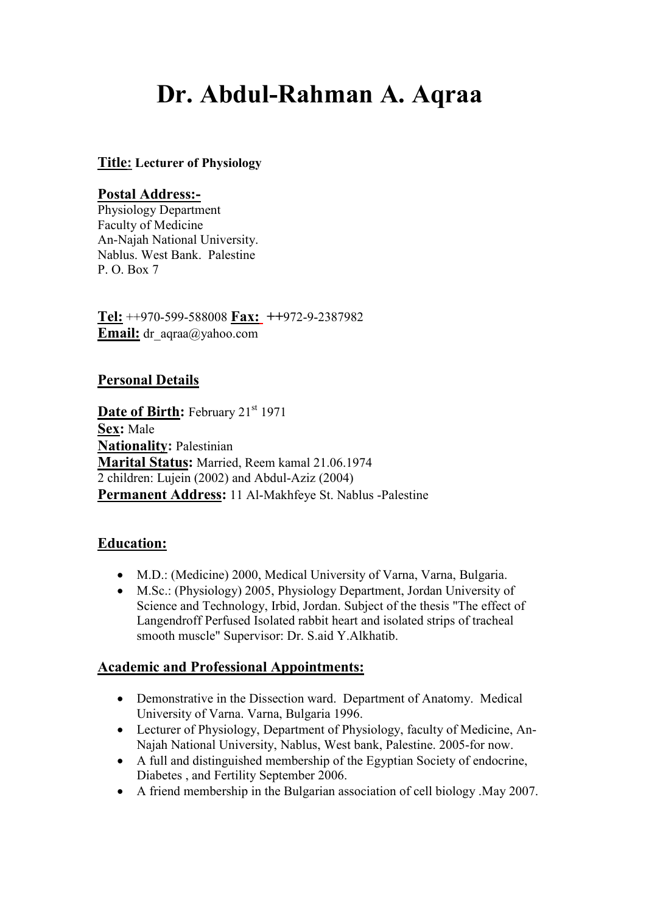# **Dr. Abdul-Rahman A. Aqraa**

#### **Title: Lecturer of Physiology**

#### **Postal Address:-**

Physiology Department Faculty of Medicine An-Najah National University. Nablus. West Bank. Palestine P. O. Box 7

**Tel:** ++970-599-588008 **Fax: ++**972-9-2387982 **Email:** dr\_aqraa@yahoo.com

#### **Personal Details**

Date of Birth: February 21<sup>st</sup> 1971 **Sex:** Male **Nationality:** Palestinian **Marital Status:** Married, Reem kamal 21.06.1974 2 children: Lujein (2002) and Abdul-Aziz (2004) **Permanent Address:** 11 Al-Makhfeye St. Nablus -Palestine

#### **Education:**

- M.D.: (Medicine) 2000, Medical University of Varna, Varna, Bulgaria.
- M.Sc.: (Physiology) 2005, Physiology Department, Jordan University of Science and Technology, Irbid, Jordan. Subject of the thesis "The effect of Langendroff Perfused Isolated rabbit heart and isolated strips of tracheal smooth muscle" Supervisor: Dr. S.aid Y.Alkhatib.

#### **Academic and Professional Appointments:**

- Demonstrative in the Dissection ward. Department of Anatomy. Medical University of Varna. Varna, Bulgaria 1996.
- Lecturer of Physiology, Department of Physiology, faculty of Medicine, An-Najah National University, Nablus, West bank, Palestine. 2005-for now.
- A full and distinguished membership of the Egyptian Society of endocrine, Diabetes , and Fertility September 2006.
- A friend membership in the Bulgarian association of cell biology .May 2007.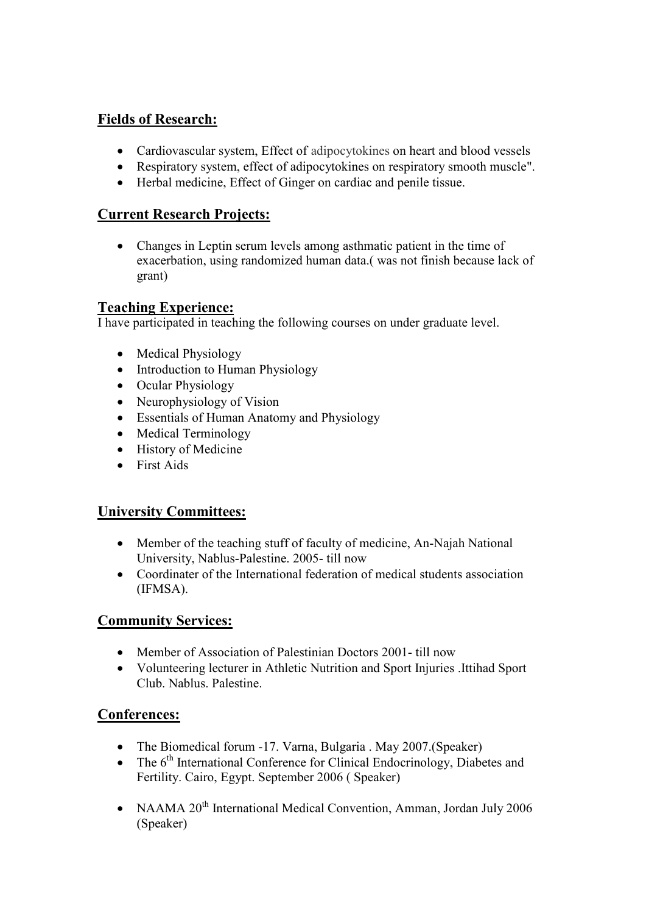## **Fields of Research:**

- Cardiovascular system, Effect of adipocytokines on heart and blood vessels
- Respiratory system, effect of adipocytokines on respiratory smooth muscle".
- Herbal medicine, Effect of Ginger on cardiac and penile tissue.

## **Current Research Projects:**

• Changes in Leptin serum levels among asthmatic patient in the time of exacerbation, using randomized human data.( was not finish because lack of grant)

## **Teaching Experience:**

I have participated in teaching the following courses on under graduate level.

- Medical Physiology
- Introduction to Human Physiology
- Ocular Physiology
- Neurophysiology of Vision
- Essentials of Human Anatomy and Physiology
- Medical Terminology
- History of Medicine
- First Aids

## **University Committees:**

- Member of the teaching stuff of faculty of medicine, An-Najah National University, Nablus-Palestine. 2005- till now
- Coordinater of the International federation of medical students association (IFMSA).

## **Community Services:**

- Member of Association of Palestinian Doctors 2001- till now
- Volunteering lecturer in Athletic Nutrition and Sport Injuries .Ittihad Sport Club. Nablus. Palestine.

## **Conferences:**

- The Biomedical forum -17. Varna, Bulgaria . May 2007. (Speaker)
- The  $6<sup>th</sup>$  International Conference for Clinical Endocrinology, Diabetes and Fertility. Cairo, Egypt. September 2006 ( Speaker)
- NAAMA 20<sup>th</sup> International Medical Convention, Amman, Jordan July 2006 (Speaker)